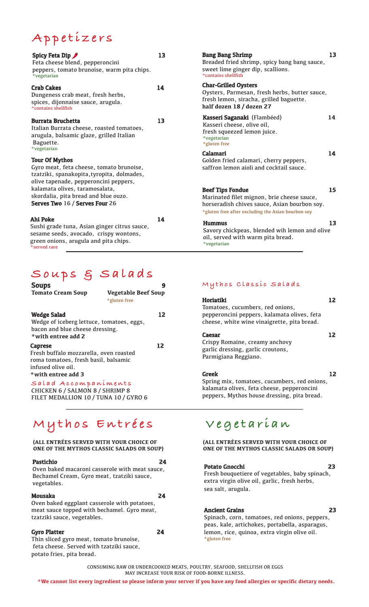# **Appetizers**

| Spicy Feta Dip<br>Feta cheese blend, pepperoncini<br>peppers, tomato brunoise, warm pita chips.<br>*vegetarian                                                          | 13 | <b>Bang Bang Shrimp</b><br><b>Breaded fried shrimp</b><br>sweet lime ginger dip<br>*contains shellfish      |
|-------------------------------------------------------------------------------------------------------------------------------------------------------------------------|----|-------------------------------------------------------------------------------------------------------------|
| <b>Crab Cakes</b><br>Dungeness crab meat, fresh herbs,<br>spices, dijonnaise sauce, arugula.<br>*contains shellfish                                                     | 14 | <b>Char-Grilled Oysters</b><br>Oysters, Parmesan, f<br>fresh lemon, siracha<br>half dozen 18 / doze         |
| <b>Burrata Bruchetta</b><br>Italian Burrata cheese, roasted tomatoes,<br>arugula, balsamic glaze, grilled Italian<br>Baguette.                                          | 13 | <b>Kasseri Saganaki</b> (Fl<br>Kasseri cheese, olive<br>fresh squeezed lemor<br>*vegetarian<br>*gluten free |
| *vegetarian<br><b>Tour Of Mythos</b><br>Gyro meat, feta cheese, tomato brunoise,<br>tzatziki, spanakopita, tyropita, dolmades,<br>olive tapenade, pepperoncini peppers, |    | Calamari<br>Golden fried calamar<br>saffron lemon aioli a                                                   |
| kalamata olives, taramosalata,<br>skordalia, pita bread and blue ouzo.<br>Serves Two 16 / Serves Four 26                                                                |    | <b>Beef Tips Fondue</b><br>Marinated filet migne<br>horseradish chives sa<br>*gluten free after excludir    |
| Ahi Poke<br>Sushi grade tuna, Asian ginger citrus sauce,<br>sesame seeds, avocado, crispy wontons,<br>green onions, arugula and pita chips.<br>*served rare             | 14 | <b>Hummus</b><br>Savory chickpeas, bl<br>oil, served with warı<br>*vegetarian                               |

## **Soups & Salads**

| <b>Soups</b>                                                                                                                          |                                            |    |
|---------------------------------------------------------------------------------------------------------------------------------------|--------------------------------------------|----|
| <b>Tomato Cream Soup</b>                                                                                                              | <b>Vegetable Beef Soup</b><br>*gluten free |    |
| <b>Wedge Salad</b><br>Wedge of iceberg lettuce, tomatoes, eggs,<br>bacon and blue cheese dressing.<br>*with entree add 2              |                                            | 12 |
| Caprese<br>Fresh buffalo mozzarella, oven roasted<br>roma tomatoes, fresh basil, balsamic<br>infused olive oil.<br>*with entree add 3 |                                            | 12 |
| Salad Accompaniments                                                                                                                  |                                            |    |

CHICKEN 6 / SALMON 8 / SHRIMP 8 FILET MEDALLION 10 / TUNA 10 / GYRO 6

# **Mythos Entrées Vegetarian**

### **(ALL ENTRÉES SERVED WITH YOUR CHOICE OF ONE OF THE MYTHOS CLASSIC SALADS OR SOUP)**

### Pastichio 24

Oven baked macaroni casserole with meat sauce, Bechamel Cream, Gyro meat, tzatziki sauce, vegetables.

### Mousaka 24

### Oven baked eggplant casserole with potatoes, meat sauce topped with bechamel. Gyro meat, tzatziki sauce, vegetables.

### Gyro Platter 24

Thin sliced gyro meat, tomato brunoise, feta cheese. Served with tzatziki sauce, potato fries, pita bread.

| Bang Bang Shrimp<br>Breaded fried shrimp, spicy bang bang sauce,<br>sweet lime ginger dip, scallions.<br>*contains shellfish                                         | 13 |
|----------------------------------------------------------------------------------------------------------------------------------------------------------------------|----|
| <b>Char-Grilled Oysters</b><br>Oysters, Parmesan, fresh herbs, butter sauce,<br>fresh lemon, siracha, grilled baguette.<br>half dozen 18 / dozen 27                  |    |
| Kasseri Saganaki (Flambéed)<br>Kasseri cheese, olive oil,<br>fresh squeezed lemon juice.<br>*vegetarian<br>*gluten free                                              | 14 |
| Calamari<br>Golden fried calamari, cherry peppers,<br>saffron lemon aioli and cocktail sauce.                                                                        | 14 |
| Beef Tips Fondue<br>Marinated filet mignon, brie cheese sauce,<br>horseradish chives sauce, Asian bourbon soy.<br>*gluten free after excluding the Asian bourbon soy | 15 |
| Hummus<br>Savory chickpeas, blended wih lemon and olive<br>oil, served with warm pita bread.                                                                         | 13 |

### **Mythos Classic Salads**

| Horiatiki<br>Tomatoes, cucumbers, red onions,<br>pepperoncini peppers, kalamata olives, feta<br>cheese, white wine vinaigrette, pita bread. | 12 |
|---------------------------------------------------------------------------------------------------------------------------------------------|----|
| Caesar<br>Crispy Romaine, creamy anchovy<br>garlic dressing, garlic croutons,<br>Parmigiana Reggiano.                                       | 12 |
| Greek<br>Spring mix, tomatoes, cucumbers, red onions,<br>kalamata olives, feta cheese, pepperoncini                                         | 12 |

**(ALL ENTRÉES SERVED WITH YOUR CHOICE OF ONE OF THE MYTHOS CLASSIC SALADS OR SOUP)**

peppers, Mythos house dressing, pita bread.

### Potato Gnocchi 23

Fresh bouquetiere of vegetables, baby spinach, extra virgin olive oil, garlic, fresh herbs, sea salt, arugula.

### Ancient Grains 23

Spinach, corn, tomatoes, red onions, peppers, peas, kale, artichokes, portabella, asparagus, lemon, rice, quinoa, extra virgin olive oil. \*gluten free

CONSUMING RAW OR UNDERCOOKED MEATS, POULTRY, SEAFOOD, SHELLFISH OR EGGS MAY INCREASE YOUR RISK OF FOOD-BORNE ILLNESS.

**\*We cannot list every ingredient so please inform your server if you have any food allergies or specific dietary needs.**